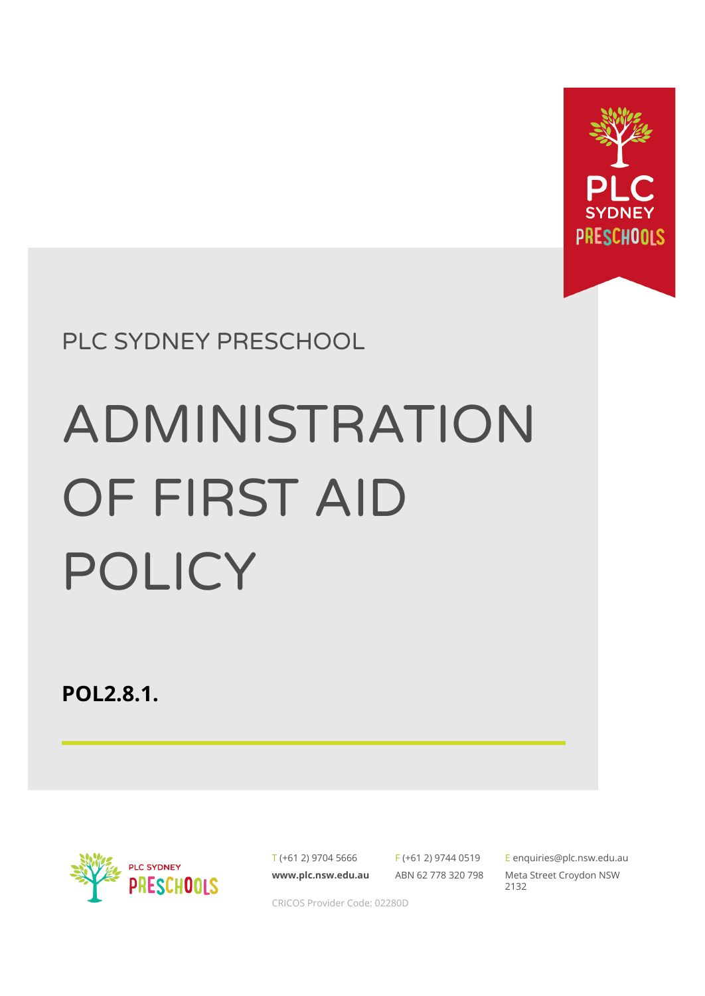

PLC SYDNEY PRESCHOOL

# ADMINISTRATION OF FIRST AID POLICY

**POL2.8.1.**



T (+61 2) 9704 5666 **[www.plc.nsw.edu.au](http://www.plc.nsw.edu.au)**

F (+61 2) 9744 0519 ABN 62 778 320 798

E [enquiries@plc.nsw.edu.au](mailto:enquiries@plc.nsw.edu.au) Meta Street Croydon NSW 2132

CRICOS Provider Code: 02280D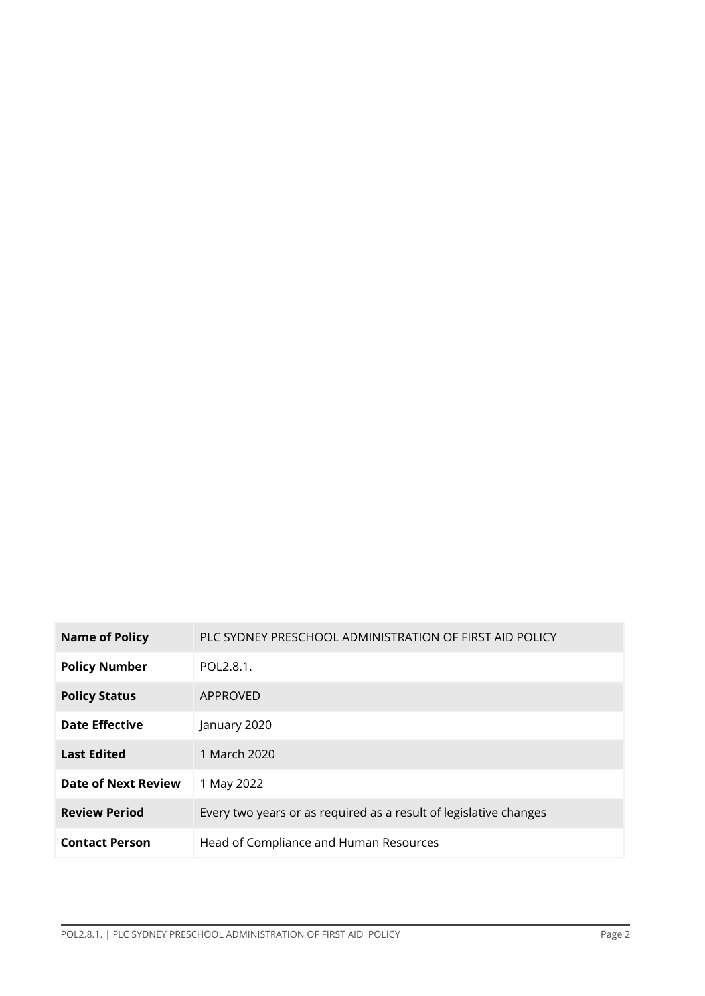| <b>Name of Policy</b>      | PLC SYDNEY PRESCHOOL ADMINISTRATION OF FIRST AID POLICY           |
|----------------------------|-------------------------------------------------------------------|
| <b>Policy Number</b>       | POL2.8.1.                                                         |
| <b>Policy Status</b>       | APPROVED                                                          |
| <b>Date Effective</b>      | January 2020                                                      |
| <b>Last Edited</b>         | 1 March 2020                                                      |
| <b>Date of Next Review</b> | 1 May 2022                                                        |
| <b>Review Period</b>       | Every two years or as required as a result of legislative changes |
| <b>Contact Person</b>      | Head of Compliance and Human Resources                            |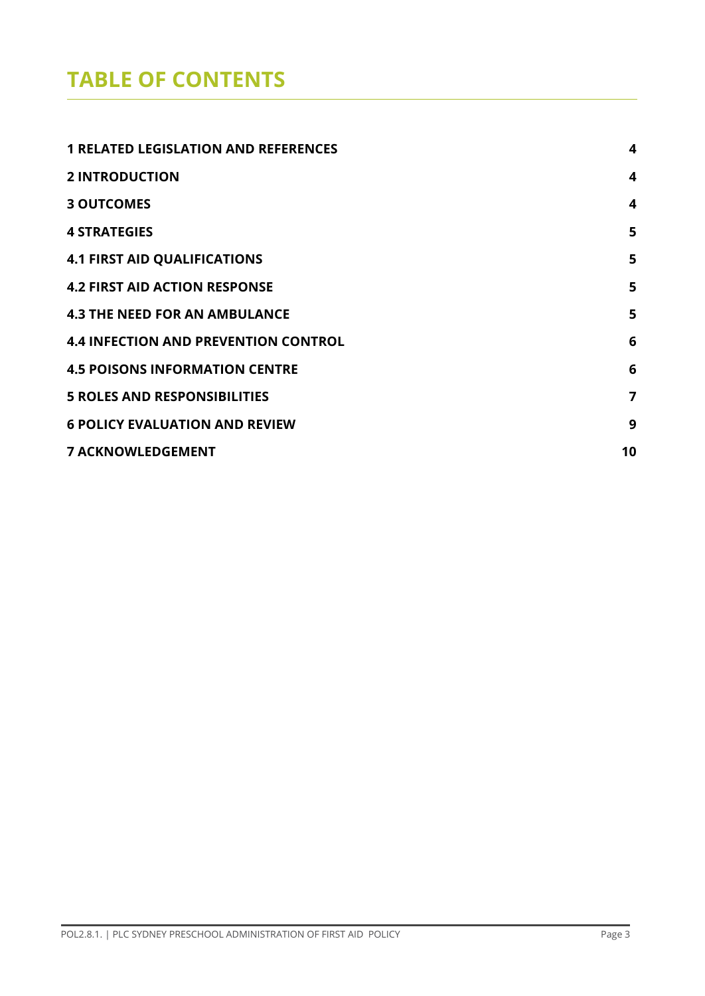## **TABLE OF CONTENTS**

| <b>1 RELATED LEGISLATION AND REFERENCES</b> | 4  |
|---------------------------------------------|----|
| <b>2 INTRODUCTION</b>                       | 4  |
| <b>3 OUTCOMES</b>                           | 4  |
| <b>4 STRATEGIES</b>                         | 5  |
| <b>4.1 FIRST AID QUALIFICATIONS</b>         | 5  |
| <b>4.2 FIRST AID ACTION RESPONSE</b>        | 5  |
| <b>4.3 THE NEED FOR AN AMBULANCE</b>        | 5  |
| <b>4.4 INFECTION AND PREVENTION CONTROL</b> | 6  |
| <b>4.5 POISONS INFORMATION CENTRE</b>       | 6  |
| <b>5 ROLES AND RESPONSIBILITIES</b>         | 7  |
| <b>6 POLICY EVALUATION AND REVIEW</b>       | 9  |
| <b>7 ACKNOWLEDGEMENT</b>                    | 10 |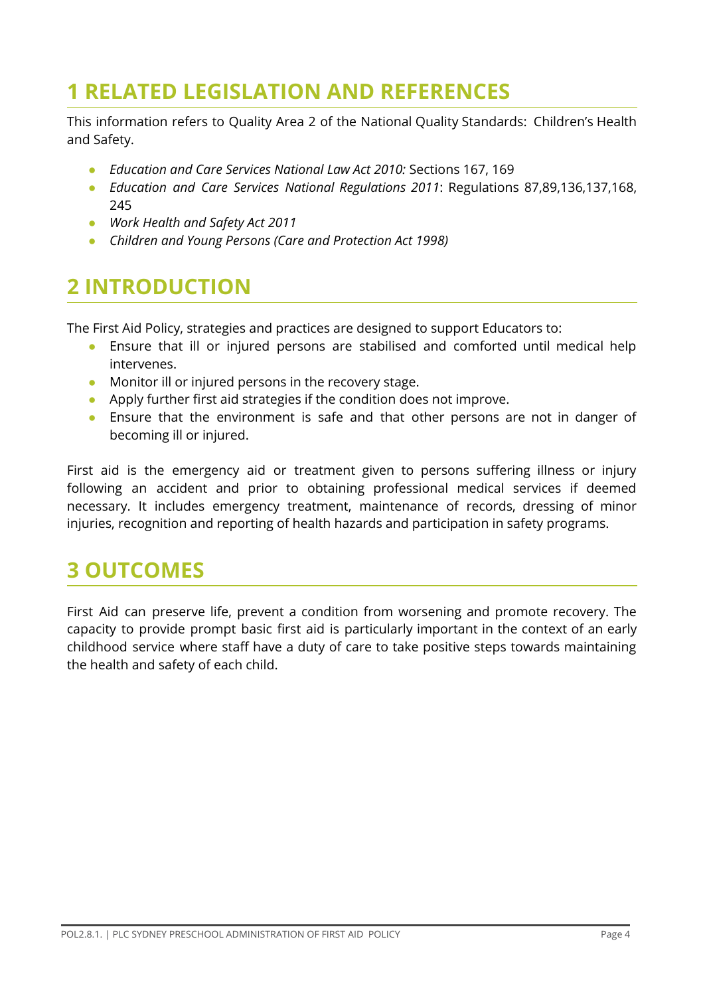## <span id="page-3-0"></span>**1 RELATED LEGISLATION AND REFERENCES**

This information refers to Quality Area 2 of the National Quality Standards: Children's Health and Safety.

- **●** *Education and Care Services National Law Act 2010:* Sections 167, 169
- **●** *Education and Care Services National Regulations 2011*: Regulations 87,89,136,137,168, 245
- *● Work Health and Safety Act 2011*
- *● Children and Young Persons (Care and Protection Act 1998)*

## **2 INTRODUCTION**

The First Aid Policy, strategies and practices are designed to support Educators to:

- Ensure that ill or injured persons are stabilised and comforted until medical help intervenes.
- Monitor ill or injured persons in the recovery stage.
- Apply further first aid strategies if the condition does not improve.
- Ensure that the environment is safe and that other persons are not in danger of becoming ill or injured.

First aid is the emergency aid or treatment given to persons suffering illness or injury following an accident and prior to obtaining professional medical services if deemed necessary. It includes emergency treatment, maintenance of records, dressing of minor injuries, recognition and reporting of health hazards and participation in safety programs.

### **3 OUTCOMES**

First Aid can preserve life, prevent a condition from worsening and promote recovery. The capacity to provide prompt basic first aid is particularly important in the context of an early childhood service where staff have a duty of care to take positive steps towards maintaining the health and safety of each child.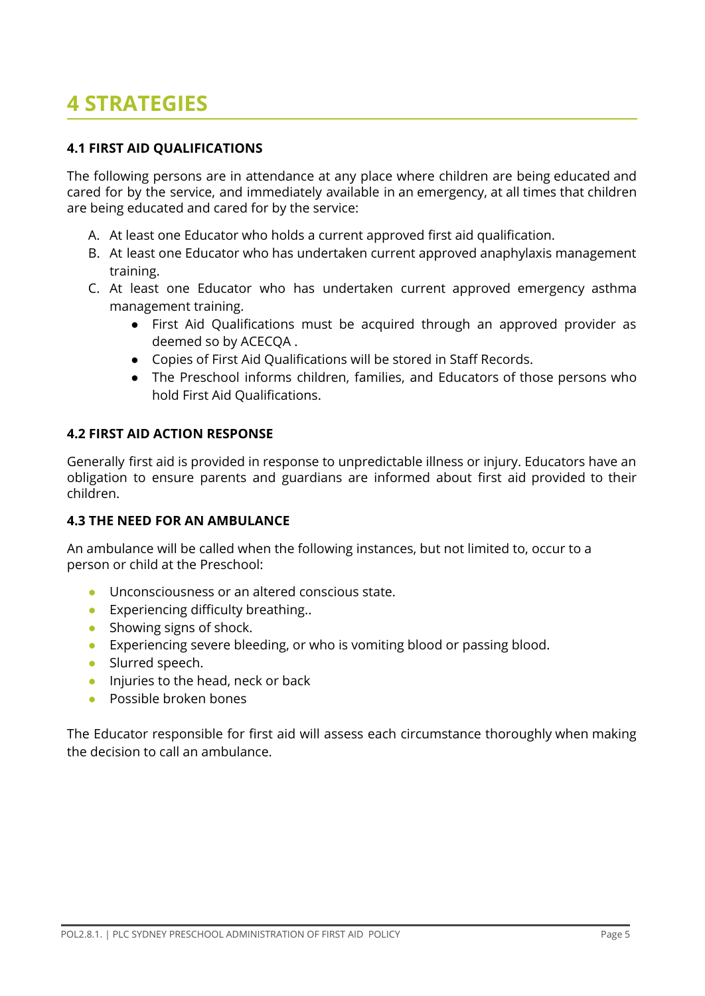## **4 STRATEGIES**

#### **4.1 FIRST AID QUALIFICATIONS**

The following persons are in attendance at any place where children are being educated and cared for by the service, and immediately available in an emergency, at all times that children are being educated and cared for by the service:

- A. At least one Educator who holds a current approved first aid qualification.
- B. At least one Educator who has undertaken current approved anaphylaxis management training.
- C. At least one Educator who has undertaken current approved emergency asthma management training.
	- First Aid Qualifications must be acquired through an approved provider as deemed so by ACECQA .
	- Copies of First Aid Qualifications will be stored in Staff Records.
	- The Preschool informs children, families, and Educators of those persons who hold First Aid Qualifications.

#### **4.2 FIRST AID ACTION RESPONSE**

Generally first aid is provided in response to unpredictable illness or injury. Educators have an obligation to ensure parents and guardians are informed about first aid provided to their children.

#### **4.3 THE NEED FOR AN AMBULANCE**

An ambulance will be called when the following instances, but not limited to, occur to a person or child at the Preschool:

- Unconsciousness or an altered conscious state.
- Experiencing difficulty breathing..
- Showing signs of shock.
- Experiencing severe bleeding, or who is vomiting blood or passing blood.
- Slurred speech.
- Injuries to the head, neck or back
- Possible broken bones

The Educator responsible for first aid will assess each circumstance thoroughly when making the decision to call an ambulance.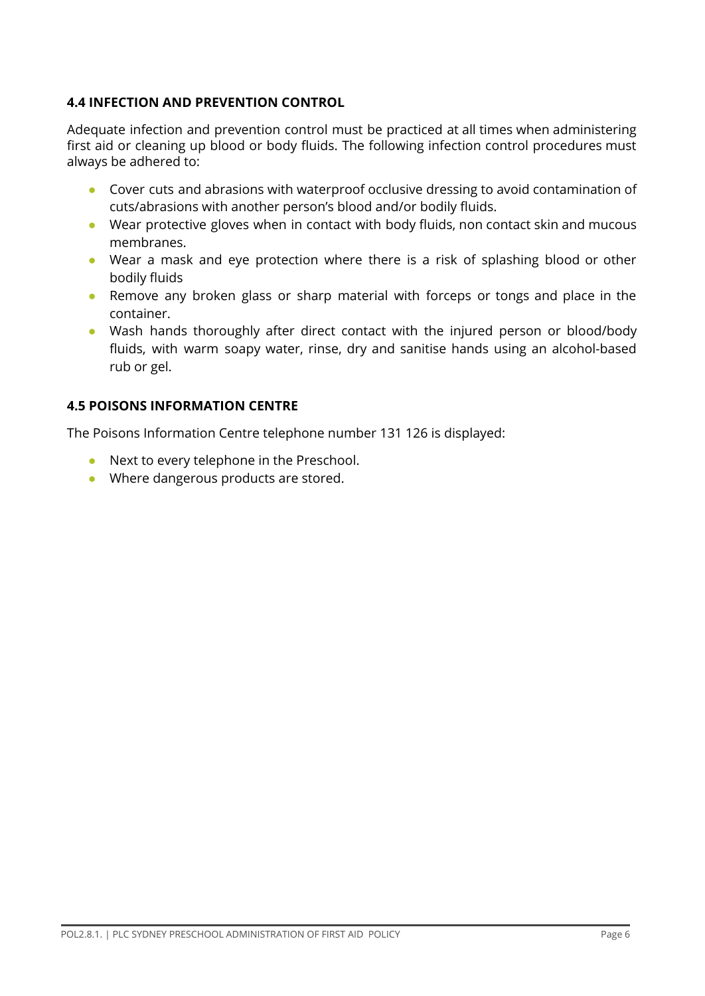#### **4.4 INFECTION AND PREVENTION CONTROL**

Adequate infection and prevention control must be practiced at all times when administering first aid or cleaning up blood or body fluids. The following infection control procedures must always be adhered to:

- Cover cuts and abrasions with waterproof occlusive dressing to avoid contamination of cuts/abrasions with another person's blood and/or bodily fluids.
- Wear protective gloves when in contact with body fluids, non contact skin and mucous membranes.
- Wear a mask and eye protection where there is a risk of splashing blood or other bodily fluids
- Remove any broken glass or sharp material with forceps or tongs and place in the container.
- Wash hands thoroughly after direct contact with the injured person or blood/body fluids, with warm soapy water, rinse, dry and sanitise hands using an alcohol-based rub or gel.

#### **4.5 POISONS INFORMATION CENTRE**

The Poisons Information Centre telephone number 131 126 is displayed:

- Next to every telephone in the Preschool.
- Where dangerous products are stored.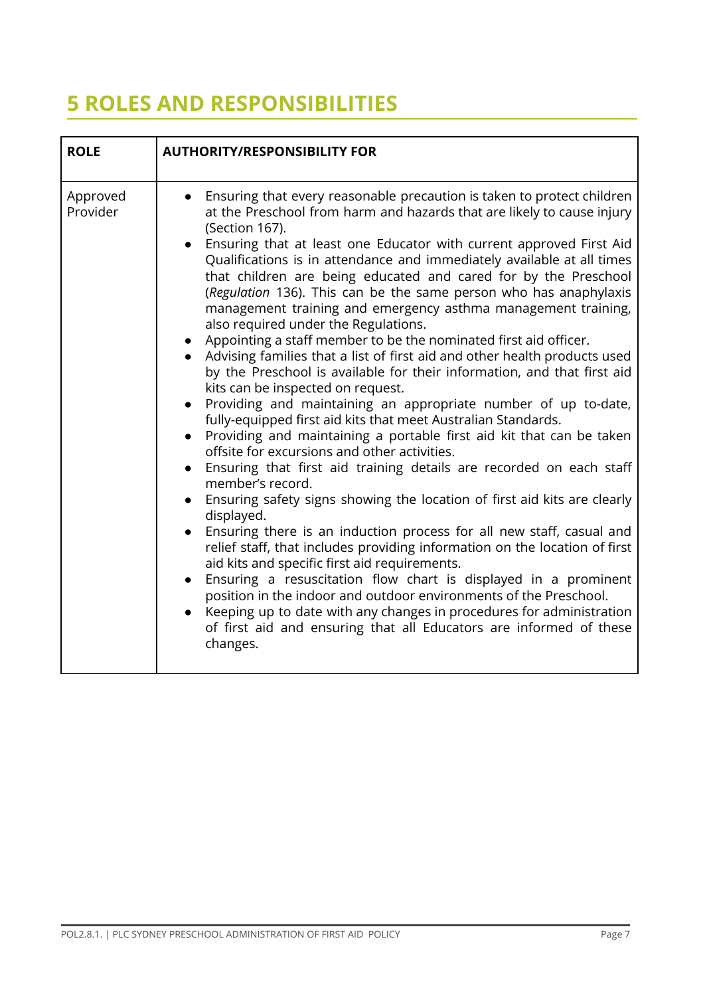## **5 ROLES AND RESPONSIBILITIES**

| <b>ROLE</b>          | <b>AUTHORITY/RESPONSIBILITY FOR</b>                                                                                                                                                                                                                                                                                                                                                                                                                                                                                                                                                                                                                                                                                                                                                                                                                                                                                                                                                                                                                                                                                                                                                                                                                                                                                                                                                                                                                                                                                                                                                                                                                                                                                                                                                                                                                                          |
|----------------------|------------------------------------------------------------------------------------------------------------------------------------------------------------------------------------------------------------------------------------------------------------------------------------------------------------------------------------------------------------------------------------------------------------------------------------------------------------------------------------------------------------------------------------------------------------------------------------------------------------------------------------------------------------------------------------------------------------------------------------------------------------------------------------------------------------------------------------------------------------------------------------------------------------------------------------------------------------------------------------------------------------------------------------------------------------------------------------------------------------------------------------------------------------------------------------------------------------------------------------------------------------------------------------------------------------------------------------------------------------------------------------------------------------------------------------------------------------------------------------------------------------------------------------------------------------------------------------------------------------------------------------------------------------------------------------------------------------------------------------------------------------------------------------------------------------------------------------------------------------------------------|
| Approved<br>Provider | Ensuring that every reasonable precaution is taken to protect children<br>at the Preschool from harm and hazards that are likely to cause injury<br>(Section 167).<br>Ensuring that at least one Educator with current approved First Aid<br>$\bullet$<br>Qualifications is in attendance and immediately available at all times<br>that children are being educated and cared for by the Preschool<br>(Regulation 136). This can be the same person who has anaphylaxis<br>management training and emergency asthma management training,<br>also required under the Regulations.<br>Appointing a staff member to be the nominated first aid officer.<br>Advising families that a list of first aid and other health products used<br>by the Preschool is available for their information, and that first aid<br>kits can be inspected on request.<br>Providing and maintaining an appropriate number of up to-date,<br>$\bullet$<br>fully-equipped first aid kits that meet Australian Standards.<br>Providing and maintaining a portable first aid kit that can be taken<br>$\bullet$<br>offsite for excursions and other activities.<br>Ensuring that first aid training details are recorded on each staff<br>$\bullet$<br>member's record.<br>Ensuring safety signs showing the location of first aid kits are clearly<br>displayed.<br>Ensuring there is an induction process for all new staff, casual and<br>$\bullet$<br>relief staff, that includes providing information on the location of first<br>aid kits and specific first aid requirements.<br>Ensuring a resuscitation flow chart is displayed in a prominent<br>$\bullet$<br>position in the indoor and outdoor environments of the Preschool.<br>Keeping up to date with any changes in procedures for administration<br>of first aid and ensuring that all Educators are informed of these<br>changes. |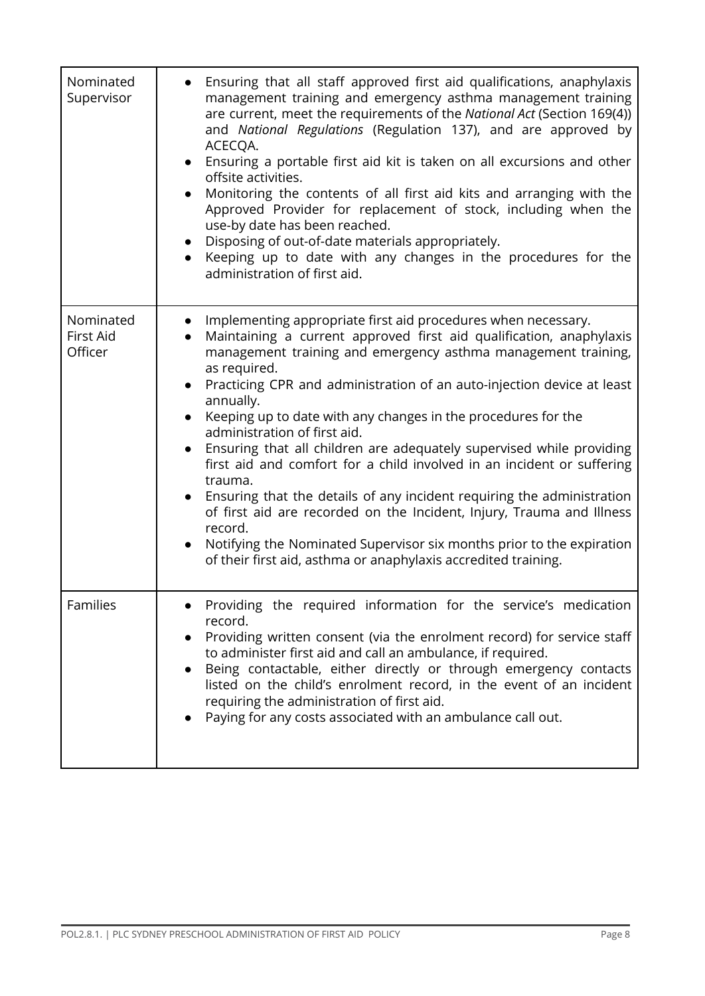| Nominated<br>Supervisor           | Ensuring that all staff approved first aid qualifications, anaphylaxis<br>management training and emergency asthma management training<br>are current, meet the requirements of the National Act (Section 169(4))<br>and National Regulations (Regulation 137), and are approved by<br>ACECQA.<br>Ensuring a portable first aid kit is taken on all excursions and other<br>offsite activities.<br>Monitoring the contents of all first aid kits and arranging with the<br>Approved Provider for replacement of stock, including when the<br>use-by date has been reached.<br>Disposing of out-of-date materials appropriately.<br>Keeping up to date with any changes in the procedures for the<br>administration of first aid.                                                                                                                                                    |
|-----------------------------------|-------------------------------------------------------------------------------------------------------------------------------------------------------------------------------------------------------------------------------------------------------------------------------------------------------------------------------------------------------------------------------------------------------------------------------------------------------------------------------------------------------------------------------------------------------------------------------------------------------------------------------------------------------------------------------------------------------------------------------------------------------------------------------------------------------------------------------------------------------------------------------------|
| Nominated<br>First Aid<br>Officer | Implementing appropriate first aid procedures when necessary.<br>Maintaining a current approved first aid qualification, anaphylaxis<br>management training and emergency asthma management training,<br>as required.<br>Practicing CPR and administration of an auto-injection device at least<br>annually.<br>Keeping up to date with any changes in the procedures for the<br>administration of first aid.<br>Ensuring that all children are adequately supervised while providing<br>first aid and comfort for a child involved in an incident or suffering<br>trauma.<br>Ensuring that the details of any incident requiring the administration<br>of first aid are recorded on the Incident, Injury, Trauma and Illness<br>record.<br>Notifying the Nominated Supervisor six months prior to the expiration<br>of their first aid, asthma or anaphylaxis accredited training. |
| Families                          | Providing the required information for the service's medication<br>record.<br>Providing written consent (via the enrolment record) for service staff<br>to administer first aid and call an ambulance, if required.<br>Being contactable, either directly or through emergency contacts<br>listed on the child's enrolment record, in the event of an incident<br>requiring the administration of first aid.<br>Paying for any costs associated with an ambulance call out.                                                                                                                                                                                                                                                                                                                                                                                                         |